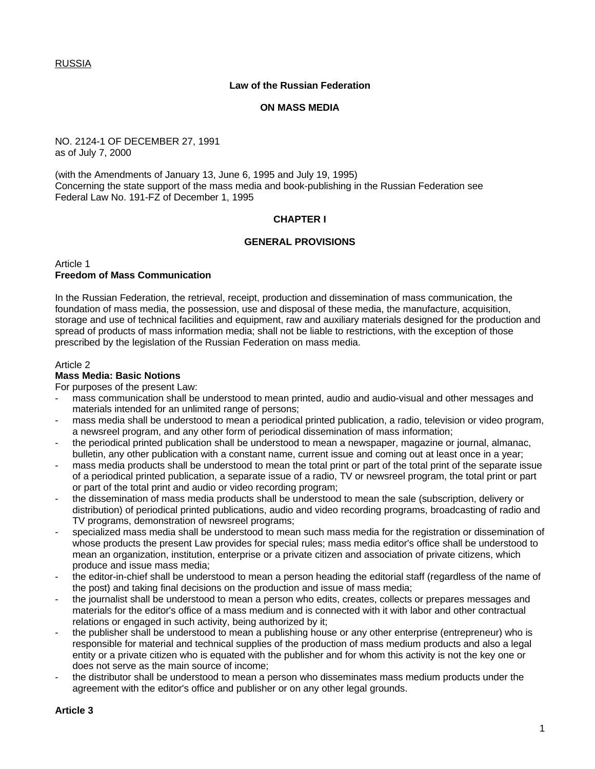RUSSIA

#### **Law of the Russian Federation**

#### **ON MASS MEDIA**

#### NO. 2124-1 OF DECEMBER 27, 1991 as of July 7, 2000

(with the Amendments of January 13, June 6, 1995 and July 19, 1995) Concerning the state support of the mass media and book-publishing in the Russian Federation see Federal Law No. 191-FZ of December 1, 1995

### **CHAPTER I**

### **GENERAL PROVISIONS**

Article 1 **Freedom of Mass Communication**

In the Russian Federation, the retrieval, receipt, production and dissemination of mass communication, the foundation of mass media, the possession, use and disposal of these media, the manufacture, acquisition, storage and use of technical facilities and equipment, raw and auxiliary materials designed for the production and spread of products of mass information media; shall not be liable to restrictions, with the exception of those prescribed by the legislation of the Russian Federation on mass media.

#### Article 2

## **Mass Media: Basic Notions**

For purposes of the present Law:

- mass communication shall be understood to mean printed, audio and audio-visual and other messages and materials intended for an unlimited range of persons;
- mass media shall be understood to mean a periodical printed publication, a radio, television or video program, a newsreel program, and any other form of periodical dissemination of mass information;
- the periodical printed publication shall be understood to mean a newspaper, magazine or journal, almanac, bulletin, any other publication with a constant name, current issue and coming out at least once in a year;
- mass media products shall be understood to mean the total print or part of the total print of the separate issue of a periodical printed publication, a separate issue of a radio, TV or newsreel program, the total print or part or part of the total print and audio or video recording program;
- the dissemination of mass media products shall be understood to mean the sale (subscription, delivery or distribution) of periodical printed publications, audio and video recording programs, broadcasting of radio and TV programs, demonstration of newsreel programs;
- specialized mass media shall be understood to mean such mass media for the registration or dissemination of whose products the present Law provides for special rules; mass media editor's office shall be understood to mean an organization, institution, enterprise or a private citizen and association of private citizens, which produce and issue mass media;
- the editor-in-chief shall be understood to mean a person heading the editorial staff (regardless of the name of the post) and taking final decisions on the production and issue of mass media;
- the journalist shall be understood to mean a person who edits, creates, collects or prepares messages and materials for the editor's office of a mass medium and is connected with it with labor and other contractual relations or engaged in such activity, being authorized by it;
- the publisher shall be understood to mean a publishing house or any other enterprise (entrepreneur) who is responsible for material and technical supplies of the production of mass medium products and also a legal entity or a private citizen who is equated with the publisher and for whom this activity is not the key one or does not serve as the main source of income;
- the distributor shall be understood to mean a person who disseminates mass medium products under the agreement with the editor's office and publisher or on any other legal grounds.

#### **Article 3**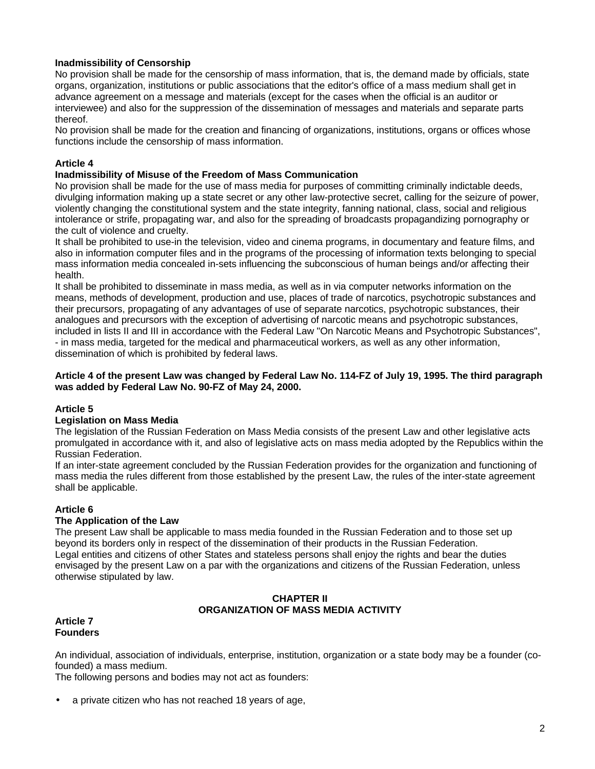# **Inadmissibility of Censorship**

No provision shall be made for the censorship of mass information, that is, the demand made by officials, state organs, organization, institutions or public associations that the editor's office of a mass medium shall get in advance agreement on a message and materials (except for the cases when the official is an auditor or interviewee) and also for the suppression of the dissemination of messages and materials and separate parts thereof.

No provision shall be made for the creation and financing of organizations, institutions, organs or offices whose functions include the censorship of mass information.

## **Article 4**

#### **Inadmissibility of Misuse of the Freedom of Mass Communication**

No provision shall be made for the use of mass media for purposes of committing criminally indictable deeds, divulging information making up a state secret or any other law-protective secret, calling for the seizure of power, violently changing the constitutional system and the state integrity, fanning national, class, social and religious intolerance or strife, propagating war, and also for the spreading of broadcasts propagandizing pornography or the cult of violence and cruelty.

It shall be prohibited to use-in the television, video and cinema programs, in documentary and feature films, and also in information computer files and in the programs of the processing of information texts belonging to special mass information media concealed in-sets influencing the subconscious of human beings and/or affecting their health.

It shall be prohibited to disseminate in mass media, as well as in via computer networks information on the means, methods of development, production and use, places of trade of narcotics, psychotropic substances and their precursors, propagating of any advantages of use of separate narcotics, psychotropic substances, their analogues and precursors with the exception of advertising of narcotic means and psychotropic substances, included in lists II and III in accordance with the Federal Law "On Narcotic Means and Psychotropic Substances", - in mass media, targeted for the medical and pharmaceutical workers, as well as any other information, dissemination of which is prohibited by federal laws.

#### **Article 4 of the present Law was changed by Federal Law No. 114-FZ of July 19, 1995. The third paragraph was added by Federal Law No. 90-FZ of May 24, 2000.**

#### **Article 5**

#### **Legislation on Mass Media**

The legislation of the Russian Federation on Mass Media consists of the present Law and other legislative acts promulgated in accordance with it, and also of legislative acts on mass media adopted by the Republics within the Russian Federation.

If an inter-state agreement concluded by the Russian Federation provides for the organization and functioning of mass media the rules different from those established by the present Law, the rules of the inter-state agreement shall be applicable.

## **Article 6**

#### **The Application of the Law**

The present Law shall be applicable to mass media founded in the Russian Federation and to those set up beyond its borders only in respect of the dissemination of their products in the Russian Federation. Legal entities and citizens of other States and stateless persons shall enjoy the rights and bear the duties envisaged by the present Law on a par with the organizations and citizens of the Russian Federation, unless otherwise stipulated by law.

## **CHAPTER II ORGANIZATION OF MASS MEDIA ACTIVITY**

#### **Article 7 Founders**

An individual, association of individuals, enterprise, institution, organization or a state body may be a founder (cofounded) a mass medium.

The following persons and bodies may not act as founders:

• a private citizen who has not reached 18 years of age,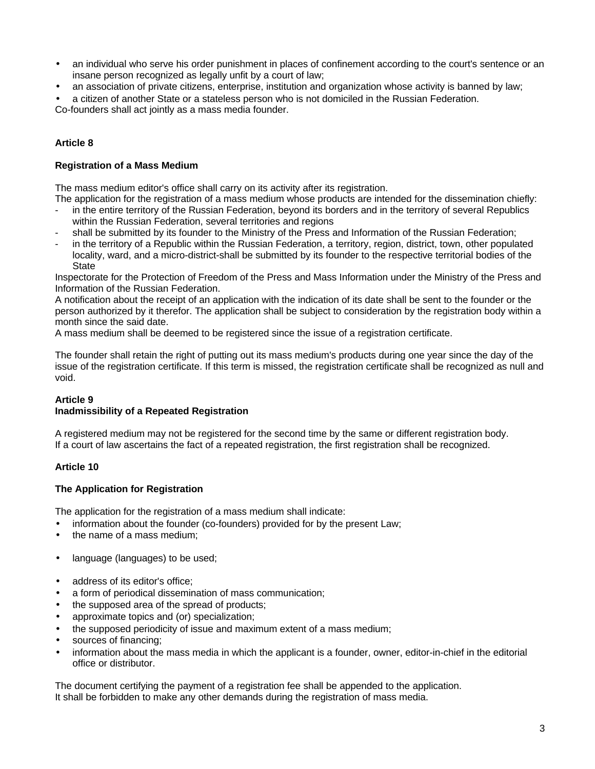- an individual who serve his order punishment in places of confinement according to the court's sentence or an insane person recognized as legally unfit by a court of law;
- an association of private citizens, enterprise, institution and organization whose activity is banned by law;

• a citizen of another State or a stateless person who is not domiciled in the Russian Federation.

Co-founders shall act jointly as a mass media founder.

## **Article 8**

### **Registration of a Mass Medium**

The mass medium editor's office shall carry on its activity after its registration.

The application for the registration of a mass medium whose products are intended for the dissemination chiefly: in the entire territory of the Russian Federation, beyond its borders and in the territory of several Republics

- within the Russian Federation, several territories and regions
- shall be submitted by its founder to the Ministry of the Press and Information of the Russian Federation;
- in the territory of a Republic within the Russian Federation, a territory, region, district, town, other populated locality, ward, and a micro-district-shall be submitted by its founder to the respective territorial bodies of the **State**

Inspectorate for the Protection of Freedom of the Press and Mass Information under the Ministry of the Press and Information of the Russian Federation.

A notification about the receipt of an application with the indication of its date shall be sent to the founder or the person authorized by it therefor. The application shall be subject to consideration by the registration body within a month since the said date.

A mass medium shall be deemed to be registered since the issue of a registration certificate.

The founder shall retain the right of putting out its mass medium's products during one year since the day of the issue of the registration certificate. If this term is missed, the registration certificate shall be recognized as null and void.

## **Article 9**

## **Inadmissibility of a Repeated Registration**

A registered medium may not be registered for the second time by the same or different registration body. If a court of law ascertains the fact of a repeated registration, the first registration shall be recognized.

## **Article 10**

## **The Application for Registration**

The application for the registration of a mass medium shall indicate:

- information about the founder (co-founders) provided for by the present Law;
- the name of a mass medium:
- language (languages) to be used;
- address of its editor's office;
- a form of periodical dissemination of mass communication;
- the supposed area of the spread of products;
- approximate topics and (or) specialization;
- the supposed periodicity of issue and maximum extent of a mass medium;
- sources of financing;
- information about the mass media in which the applicant is a founder, owner, editor-in-chief in the editorial office or distributor.

The document certifying the payment of a registration fee shall be appended to the application. It shall be forbidden to make any other demands during the registration of mass media.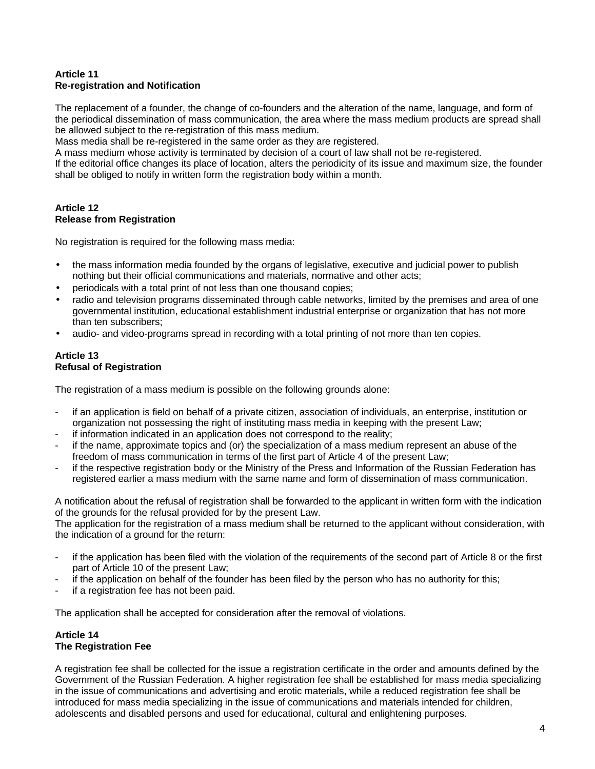## **Article 11 Re-registration and Notification**

The replacement of a founder, the change of co-founders and the alteration of the name, language, and form of the periodical dissemination of mass communication, the area where the mass medium products are spread shall be allowed subject to the re-registration of this mass medium.

Mass media shall be re-registered in the same order as they are registered.

A mass medium whose activity is terminated by decision of a court of law shall not be re-registered.

If the editorial office changes its place of location, alters the periodicity of its issue and maximum size, the founder shall be obliged to notify in written form the registration body within a month.

## **Article 12 Release from Registration**

No registration is required for the following mass media:

- the mass information media founded by the organs of legislative, executive and judicial power to publish nothing but their official communications and materials, normative and other acts;
- periodicals with a total print of not less than one thousand copies;
- radio and television programs disseminated through cable networks, limited by the premises and area of one governmental institution, educational establishment industrial enterprise or organization that has not more than ten subscribers;
- audio- and video-programs spread in recording with a total printing of not more than ten copies.

## **Article 13 Refusal of Registration**

The registration of a mass medium is possible on the following grounds alone:

- if an application is field on behalf of a private citizen, association of individuals, an enterprise, institution or organization not possessing the right of instituting mass media in keeping with the present Law;
- if information indicated in an application does not correspond to the reality;
- if the name, approximate topics and (or) the specialization of a mass medium represent an abuse of the freedom of mass communication in terms of the first part of Article 4 of the present Law;
- if the respective registration body or the Ministry of the Press and Information of the Russian Federation has registered earlier a mass medium with the same name and form of dissemination of mass communication.

A notification about the refusal of registration shall be forwarded to the applicant in written form with the indication of the grounds for the refusal provided for by the present Law.

The application for the registration of a mass medium shall be returned to the applicant without consideration, with the indication of a ground for the return:

- if the application has been filed with the violation of the requirements of the second part of Article 8 or the first part of Article 10 of the present Law;
- if the application on behalf of the founder has been filed by the person who has no authority for this;
- if a registration fee has not been paid.

The application shall be accepted for consideration after the removal of violations.

### **Article 14 The Registration Fee**

A registration fee shall be collected for the issue a registration certificate in the order and amounts defined by the Government of the Russian Federation. A higher registration fee shall be established for mass media specializing in the issue of communications and advertising and erotic materials, while a reduced registration fee shall be introduced for mass media specializing in the issue of communications and materials intended for children, adolescents and disabled persons and used for educational, cultural and enlightening purposes.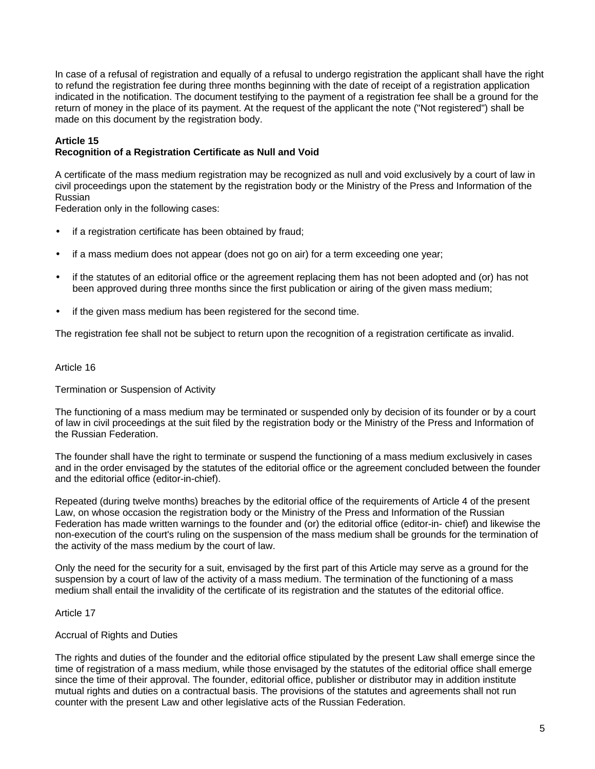In case of a refusal of registration and equally of a refusal to undergo registration the applicant shall have the right to refund the registration fee during three months beginning with the date of receipt of a registration application indicated in the notification. The document testifying to the payment of a registration fee shall be a ground for the return of money in the place of its payment. At the request of the applicant the note ("Not registered") shall be made on this document by the registration body.

# **Article 15**

## **Recognition of a Registration Certificate as Null and Void**

A certificate of the mass medium registration may be recognized as null and void exclusively by a court of law in civil proceedings upon the statement by the registration body or the Ministry of the Press and Information of the Russian

Federation only in the following cases:

- if a registration certificate has been obtained by fraud;
- if a mass medium does not appear (does not go on air) for a term exceeding one year;
- if the statutes of an editorial office or the agreement replacing them has not been adopted and (or) has not been approved during three months since the first publication or airing of the given mass medium;
- if the given mass medium has been registered for the second time.

The registration fee shall not be subject to return upon the recognition of a registration certificate as invalid.

#### Article 16

#### Termination or Suspension of Activity

The functioning of a mass medium may be terminated or suspended only by decision of its founder or by a court of law in civil proceedings at the suit filed by the registration body or the Ministry of the Press and Information of the Russian Federation.

The founder shall have the right to terminate or suspend the functioning of a mass medium exclusively in cases and in the order envisaged by the statutes of the editorial office or the agreement concluded between the founder and the editorial office (editor-in-chief).

Repeated (during twelve months) breaches by the editorial office of the requirements of Article 4 of the present Law, on whose occasion the registration body or the Ministry of the Press and Information of the Russian Federation has made written warnings to the founder and (or) the editorial office (editor-in- chief) and likewise the non-execution of the court's ruling on the suspension of the mass medium shall be grounds for the termination of the activity of the mass medium by the court of law.

Only the need for the security for a suit, envisaged by the first part of this Article may serve as a ground for the suspension by a court of law of the activity of a mass medium. The termination of the functioning of a mass medium shall entail the invalidity of the certificate of its registration and the statutes of the editorial office.

#### Article 17

## Accrual of Rights and Duties

The rights and duties of the founder and the editorial office stipulated by the present Law shall emerge since the time of registration of a mass medium, while those envisaged by the statutes of the editorial office shall emerge since the time of their approval. The founder, editorial office, publisher or distributor may in addition institute mutual rights and duties on a contractual basis. The provisions of the statutes and agreements shall not run counter with the present Law and other legislative acts of the Russian Federation.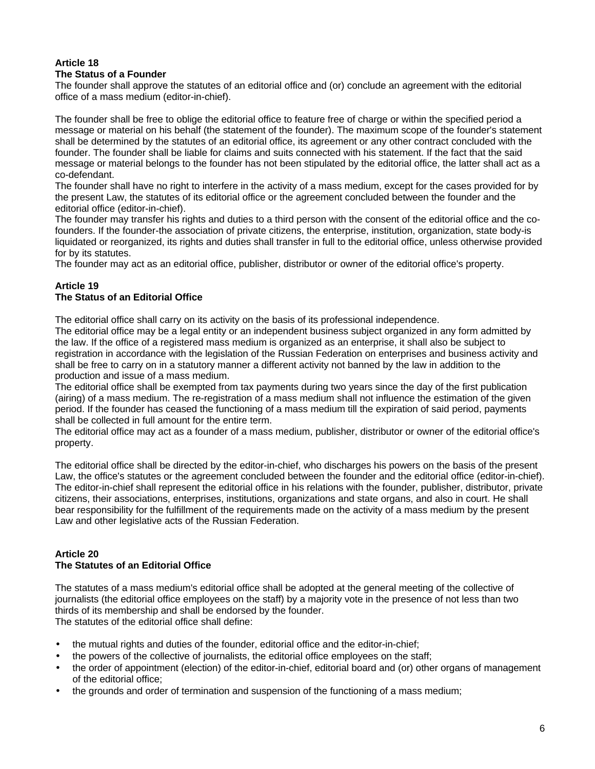#### **Article 18 The Status of a Founder**

The founder shall approve the statutes of an editorial office and (or) conclude an agreement with the editorial office of a mass medium (editor-in-chief).

The founder shall be free to oblige the editorial office to feature free of charge or within the specified period a message or material on his behalf (the statement of the founder). The maximum scope of the founder's statement shall be determined by the statutes of an editorial office, its agreement or any other contract concluded with the founder. The founder shall be liable for claims and suits connected with his statement. If the fact that the said message or material belongs to the founder has not been stipulated by the editorial office, the latter shall act as a co-defendant.

The founder shall have no right to interfere in the activity of a mass medium, except for the cases provided for by the present Law, the statutes of its editorial office or the agreement concluded between the founder and the editorial office (editor-in-chief).

The founder may transfer his rights and duties to a third person with the consent of the editorial office and the cofounders. If the founder-the association of private citizens, the enterprise, institution, organization, state body-is liquidated or reorganized, its rights and duties shall transfer in full to the editorial office, unless otherwise provided for by its statutes.

The founder may act as an editorial office, publisher, distributor or owner of the editorial office's property.

# **Article 19**

## **The Status of an Editorial Office**

The editorial office shall carry on its activity on the basis of its professional independence.

The editorial office may be a legal entity or an independent business subject organized in any form admitted by the law. If the office of a registered mass medium is organized as an enterprise, it shall also be subject to registration in accordance with the legislation of the Russian Federation on enterprises and business activity and shall be free to carry on in a statutory manner a different activity not banned by the law in addition to the production and issue of a mass medium.

The editorial office shall be exempted from tax payments during two years since the day of the first publication (airing) of a mass medium. The re-registration of a mass medium shall not influence the estimation of the given period. If the founder has ceased the functioning of a mass medium till the expiration of said period, payments shall be collected in full amount for the entire term.

The editorial office may act as a founder of a mass medium, publisher, distributor or owner of the editorial office's property.

The editorial office shall be directed by the editor-in-chief, who discharges his powers on the basis of the present Law, the office's statutes or the agreement concluded between the founder and the editorial office (editor-in-chief). The editor-in-chief shall represent the editorial office in his relations with the founder, publisher, distributor, private citizens, their associations, enterprises, institutions, organizations and state organs, and also in court. He shall bear responsibility for the fulfillment of the requirements made on the activity of a mass medium by the present Law and other legislative acts of the Russian Federation.

## **Article 20 The Statutes of an Editorial Office**

The statutes of a mass medium's editorial office shall be adopted at the general meeting of the collective of journalists (the editorial office employees on the staff) by a majority vote in the presence of not less than two thirds of its membership and shall be endorsed by the founder. The statutes of the editorial office shall define:

- the mutual rights and duties of the founder, editorial office and the editor-in-chief;
- the powers of the collective of journalists, the editorial office employees on the staff;
- the order of appointment (election) of the editor-in-chief, editorial board and (or) other organs of management of the editorial office;
- the grounds and order of termination and suspension of the functioning of a mass medium;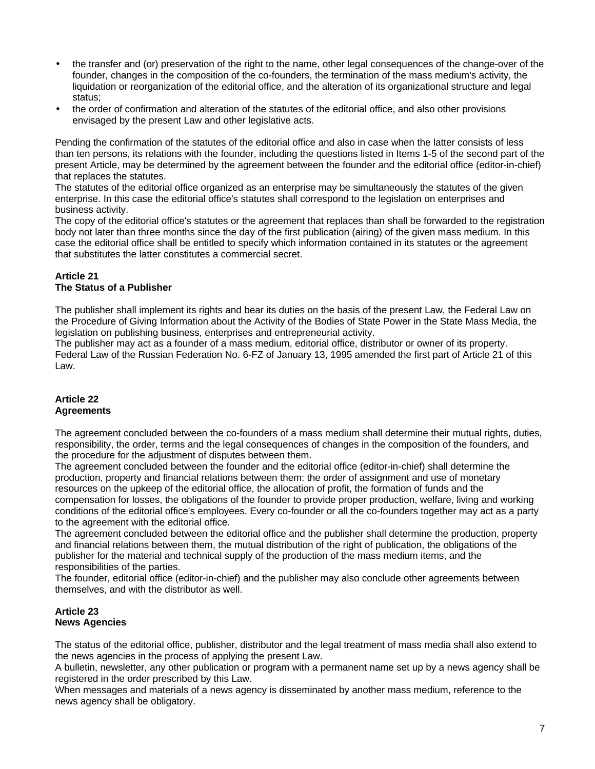- the transfer and (or) preservation of the right to the name, other legal consequences of the change-over of the founder, changes in the composition of the co-founders, the termination of the mass medium's activity, the liquidation or reorganization of the editorial office, and the alteration of its organizational structure and legal status;
- the order of confirmation and alteration of the statutes of the editorial office, and also other provisions envisaged by the present Law and other legislative acts.

Pending the confirmation of the statutes of the editorial office and also in case when the latter consists of less than ten persons, its relations with the founder, including the questions listed in Items 1-5 of the second part of the present Article, may be determined by the agreement between the founder and the editorial office (editor-in-chief) that replaces the statutes.

The statutes of the editorial office organized as an enterprise may be simultaneously the statutes of the given enterprise. In this case the editorial office's statutes shall correspond to the legislation on enterprises and business activity.

The copy of the editorial office's statutes or the agreement that replaces than shall be forwarded to the registration body not later than three months since the day of the first publication (airing) of the given mass medium. In this case the editorial office shall be entitled to specify which information contained in its statutes or the agreement that substitutes the latter constitutes a commercial secret.

## **Article 21 The Status of a Publisher**

The publisher shall implement its rights and bear its duties on the basis of the present Law, the Federal Law on the Procedure of Giving Information about the Activity of the Bodies of State Power in the State Mass Media, the legislation on publishing business, enterprises and entrepreneurial activity.

The publisher may act as a founder of a mass medium, editorial office, distributor or owner of its property. Federal Law of the Russian Federation No. 6-FZ of January 13, 1995 amended the first part of Article 21 of this Law.

### **Article 22 Agreements**

The agreement concluded between the co-founders of a mass medium shall determine their mutual rights, duties, responsibility, the order, terms and the legal consequences of changes in the composition of the founders, and the procedure for the adjustment of disputes between them.

The agreement concluded between the founder and the editorial office (editor-in-chief) shall determine the production, property and financial relations between them: the order of assignment and use of monetary resources on the upkeep of the editorial office, the allocation of profit, the formation of funds and the compensation for losses, the obligations of the founder to provide proper production, welfare, living and working conditions of the editorial office's employees. Every co-founder or all the co-founders together may act as a party to the agreement with the editorial office.

The agreement concluded between the editorial office and the publisher shall determine the production, property and financial relations between them, the mutual distribution of the right of publication, the obligations of the publisher for the material and technical supply of the production of the mass medium items, and the responsibilities of the parties.

The founder, editorial office (editor-in-chief) and the publisher may also conclude other agreements between themselves, and with the distributor as well.

# **Article 23 News Agencies**

The status of the editorial office, publisher, distributor and the legal treatment of mass media shall also extend to the news agencies in the process of applying the present Law.

A bulletin, newsletter, any other publication or program with a permanent name set up by a news agency shall be registered in the order prescribed by this Law.

When messages and materials of a news agency is disseminated by another mass medium, reference to the news agency shall be obligatory.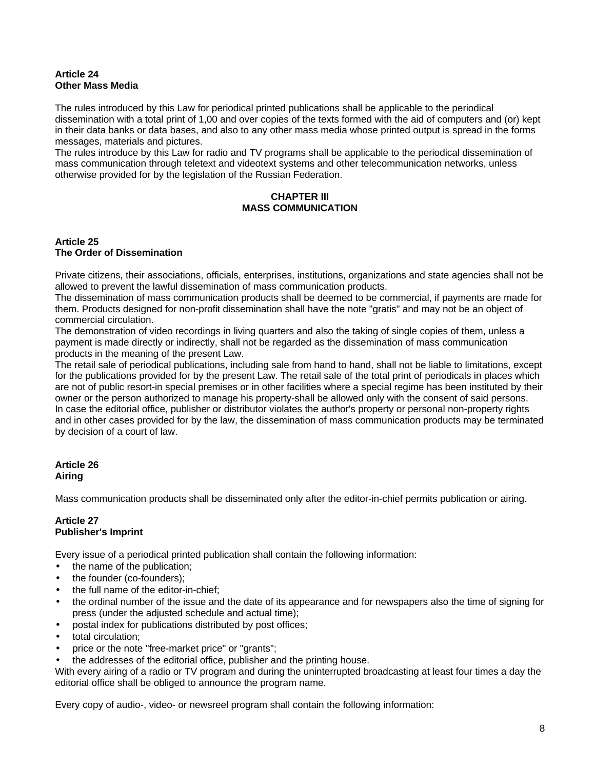## **Article 24 Other Mass Media**

The rules introduced by this Law for periodical printed publications shall be applicable to the periodical dissemination with a total print of 1,00 and over copies of the texts formed with the aid of computers and (or) kept in their data banks or data bases, and also to any other mass media whose printed output is spread in the forms messages, materials and pictures.

The rules introduce by this Law for radio and TV programs shall be applicable to the periodical dissemination of mass communication through teletext and videotext systems and other telecommunication networks, unless otherwise provided for by the legislation of the Russian Federation.

## **CHAPTER III MASS COMMUNICATION**

#### **Article 25 The Order of Dissemination**

Private citizens, their associations, officials, enterprises, institutions, organizations and state agencies shall not be allowed to prevent the lawful dissemination of mass communication products.

The dissemination of mass communication products shall be deemed to be commercial, if payments are made for them. Products designed for non-profit dissemination shall have the note "gratis" and may not be an object of commercial circulation.

The demonstration of video recordings in living quarters and also the taking of single copies of them, unless a payment is made directly or indirectly, shall not be regarded as the dissemination of mass communication products in the meaning of the present Law.

The retail sale of periodical publications, including sale from hand to hand, shall not be liable to limitations, except for the publications provided for by the present Law. The retail sale of the total print of periodicals in places which are not of public resort-in special premises or in other facilities where a special regime has been instituted by their owner or the person authorized to manage his property-shall be allowed only with the consent of said persons. In case the editorial office, publisher or distributor violates the author's property or personal non-property rights and in other cases provided for by the law, the dissemination of mass communication products may be terminated by decision of a court of law.

# **Article 26 Airing**

Mass communication products shall be disseminated only after the editor-in-chief permits publication or airing.

## **Article 27 Publisher's Imprint**

Every issue of a periodical printed publication shall contain the following information:

- the name of the publication;
- the founder (co-founders);
- the full name of the editor-in-chief;
- the ordinal number of the issue and the date of its appearance and for newspapers also the time of signing for press (under the adjusted schedule and actual time);
- postal index for publications distributed by post offices;
- total circulation;
- price or the note "free-market price" or "grants";
- the addresses of the editorial office, publisher and the printing house.

With every airing of a radio or TV program and during the uninterrupted broadcasting at least four times a day the editorial office shall be obliged to announce the program name.

Every copy of audio-, video- or newsreel program shall contain the following information: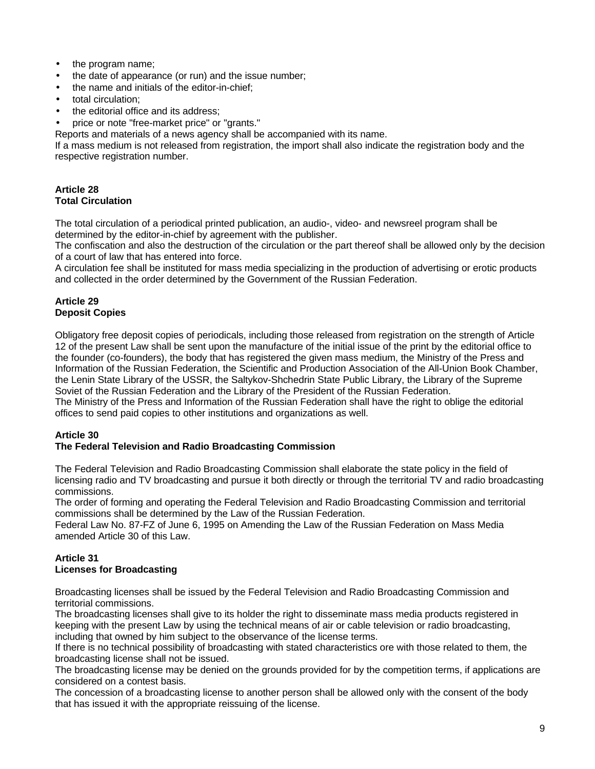- the program name;
- the date of appearance (or run) and the issue number;
- the name and initials of the editor-in-chief;
- total circulation;
- the editorial office and its address:
- price or note "free-market price" or "grants."

Reports and materials of a news agency shall be accompanied with its name.

If a mass medium is not released from registration, the import shall also indicate the registration body and the respective registration number.

## **Article 28 Total Circulation**

The total circulation of a periodical printed publication, an audio-, video- and newsreel program shall be determined by the editor-in-chief by agreement with the publisher.

The confiscation and also the destruction of the circulation or the part thereof shall be allowed only by the decision of a court of law that has entered into force.

A circulation fee shall be instituted for mass media specializing in the production of advertising or erotic products and collected in the order determined by the Government of the Russian Federation.

## **Article 29 Deposit Copies**

Obligatory free deposit copies of periodicals, including those released from registration on the strength of Article 12 of the present Law shall be sent upon the manufacture of the initial issue of the print by the editorial office to the founder (co-founders), the body that has registered the given mass medium, the Ministry of the Press and Information of the Russian Federation, the Scientific and Production Association of the All-Union Book Chamber, the Lenin State Library of the USSR, the Saltykov-Shchedrin State Public Library, the Library of the Supreme Soviet of the Russian Federation and the Library of the President of the Russian Federation.

The Ministry of the Press and Information of the Russian Federation shall have the right to oblige the editorial offices to send paid copies to other institutions and organizations as well.

# **Article 30**

# **The Federal Television and Radio Broadcasting Commission**

The Federal Television and Radio Broadcasting Commission shall elaborate the state policy in the field of licensing radio and TV broadcasting and pursue it both directly or through the territorial TV and radio broadcasting commissions.

The order of forming and operating the Federal Television and Radio Broadcasting Commission and territorial commissions shall be determined by the Law of the Russian Federation.

Federal Law No. 87-FZ of June 6, 1995 on Amending the Law of the Russian Federation on Mass Media amended Article 30 of this Law.

# **Article 31 Licenses for Broadcasting**

Broadcasting licenses shall be issued by the Federal Television and Radio Broadcasting Commission and territorial commissions.

The broadcasting licenses shall give to its holder the right to disseminate mass media products registered in keeping with the present Law by using the technical means of air or cable television or radio broadcasting, including that owned by him subject to the observance of the license terms.

If there is no technical possibility of broadcasting with stated characteristics ore with those related to them, the broadcasting license shall not be issued.

The broadcasting license may be denied on the grounds provided for by the competition terms, if applications are considered on a contest basis.

The concession of a broadcasting license to another person shall be allowed only with the consent of the body that has issued it with the appropriate reissuing of the license.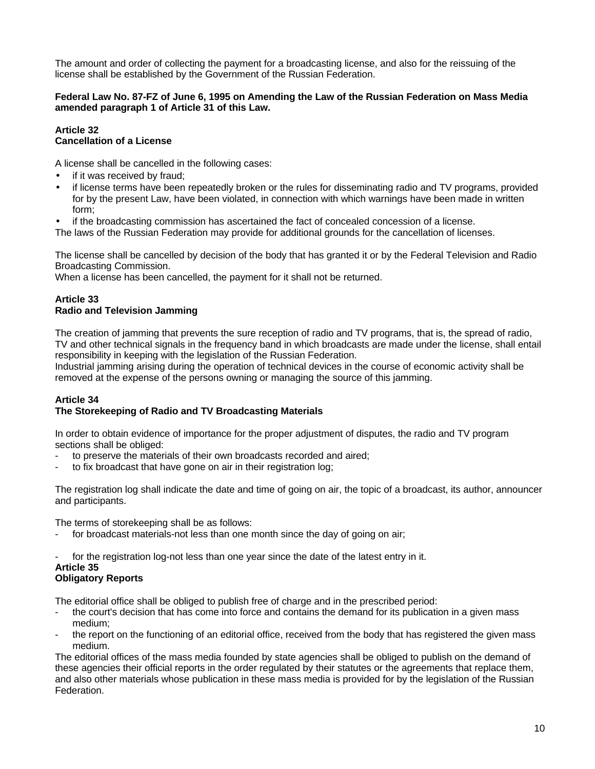The amount and order of collecting the payment for a broadcasting license, and also for the reissuing of the license shall be established by the Government of the Russian Federation.

## **Federal Law No. 87-FZ of June 6, 1995 on Amending the Law of the Russian Federation on Mass Media amended paragraph 1 of Article 31 of this Law.**

#### **Article 32 Cancellation of a License**

A license shall be cancelled in the following cases:

- if it was received by fraud;
- if license terms have been repeatedly broken or the rules for disseminating radio and TV programs, provided for by the present Law, have been violated, in connection with which warnings have been made in written form;

• if the broadcasting commission has ascertained the fact of concealed concession of a license.

The laws of the Russian Federation may provide for additional grounds for the cancellation of licenses.

The license shall be cancelled by decision of the body that has granted it or by the Federal Television and Radio Broadcasting Commission.

When a license has been cancelled, the payment for it shall not be returned.

## **Article 33 Radio and Television Jamming**

The creation of jamming that prevents the sure reception of radio and TV programs, that is, the spread of radio, TV and other technical signals in the frequency band in which broadcasts are made under the license, shall entail responsibility in keeping with the legislation of the Russian Federation.

Industrial jamming arising during the operation of technical devices in the course of economic activity shall be removed at the expense of the persons owning or managing the source of this jamming.

# **Article 34 The Storekeeping of Radio and TV Broadcasting Materials**

In order to obtain evidence of importance for the proper adjustment of disputes, the radio and TV program sections shall be obliged:

- to preserve the materials of their own broadcasts recorded and aired;
- to fix broadcast that have gone on air in their registration log;

The registration log shall indicate the date and time of going on air, the topic of a broadcast, its author, announcer and participants.

The terms of storekeeping shall be as follows:

- for broadcast materials-not less than one month since the day of going on air;
- for the registration log-not less than one year since the date of the latest entry in it.

#### **Article 35 Obligatory Reports**

The editorial office shall be obliged to publish free of charge and in the prescribed period:

- the court's decision that has come into force and contains the demand for its publication in a given mass medium;
- the report on the functioning of an editorial office, received from the body that has registered the given mass medium.

The editorial offices of the mass media founded by state agencies shall be obliged to publish on the demand of these agencies their official reports in the order regulated by their statutes or the agreements that replace them, and also other materials whose publication in these mass media is provided for by the legislation of the Russian Federation.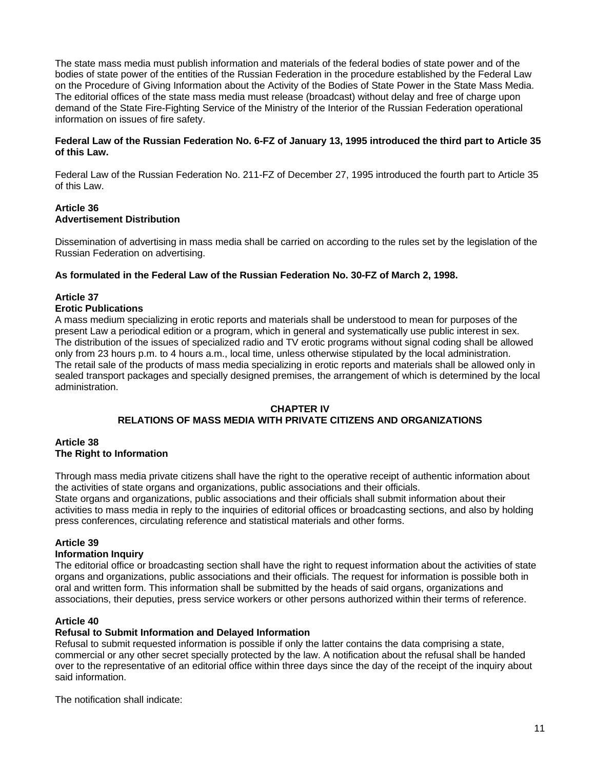The state mass media must publish information and materials of the federal bodies of state power and of the bodies of state power of the entities of the Russian Federation in the procedure established by the Federal Law on the Procedure of Giving Information about the Activity of the Bodies of State Power in the State Mass Media. The editorial offices of the state mass media must release (broadcast) without delay and free of charge upon demand of the State Fire-Fighting Service of the Ministry of the Interior of the Russian Federation operational information on issues of fire safety.

#### **Federal Law of the Russian Federation No. 6-FZ of January 13, 1995 introduced the third part to Article 35 of this Law.**

Federal Law of the Russian Federation No. 211-FZ of December 27, 1995 introduced the fourth part to Article 35 of this Law.

## **Article 36 Advertisement Distribution**

Dissemination of advertising in mass media shall be carried on according to the rules set by the legislation of the Russian Federation on advertising.

### **As formulated in the Federal Law of the Russian Federation No. 30-FZ of March 2, 1998.**

## **Article 37**

### **Erotic Publications**

A mass medium specializing in erotic reports and materials shall be understood to mean for purposes of the present Law a periodical edition or a program, which in general and systematically use public interest in sex. The distribution of the issues of specialized radio and TV erotic programs without signal coding shall be allowed only from 23 hours p.m. to 4 hours a.m., local time, unless otherwise stipulated by the local administration. The retail sale of the products of mass media specializing in erotic reports and materials shall be allowed only in sealed transport packages and specially designed premises, the arrangement of which is determined by the local administration.

#### **CHAPTER IV**

## **RELATIONS OF MASS MEDIA WITH PRIVATE CITIZENS AND ORGANIZATIONS**

#### **Article 38 The Right to Information**

Through mass media private citizens shall have the right to the operative receipt of authentic information about the activities of state organs and organizations, public associations and their officials. State organs and organizations, public associations and their officials shall submit information about their activities to mass media in reply to the inquiries of editorial offices or broadcasting sections, and also by holding

# **Article 39**

## **Information Inquiry**

The editorial office or broadcasting section shall have the right to request information about the activities of state organs and organizations, public associations and their officials. The request for information is possible both in oral and written form. This information shall be submitted by the heads of said organs, organizations and associations, their deputies, press service workers or other persons authorized within their terms of reference.

## **Article 40**

#### **Refusal to Submit Information and Delayed Information**

press conferences, circulating reference and statistical materials and other forms.

Refusal to submit requested information is possible if only the latter contains the data comprising a state, commercial or any other secret specially protected by the law. A notification about the refusal shall be handed over to the representative of an editorial office within three days since the day of the receipt of the inquiry about said information.

The notification shall indicate: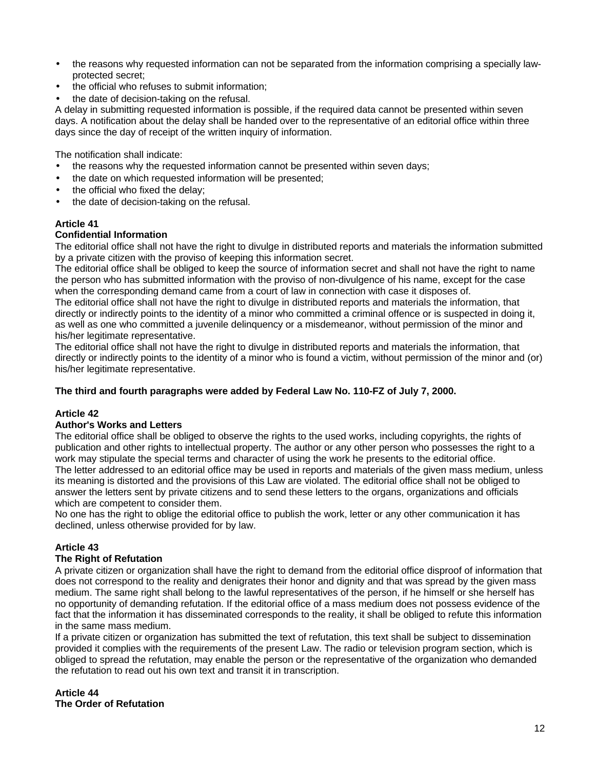- the reasons why requested information can not be separated from the information comprising a specially lawprotected secret;
- the official who refuses to submit information;
- the date of decision-taking on the refusal.

A delay in submitting requested information is possible, if the required data cannot be presented within seven days. A notification about the delay shall be handed over to the representative of an editorial office within three days since the day of receipt of the written inquiry of information.

The notification shall indicate:

- the reasons why the requested information cannot be presented within seven days;
- the date on which requested information will be presented;
- the official who fixed the delay;
- the date of decision-taking on the refusal.

# **Article 41**

## **Confidential Information**

The editorial office shall not have the right to divulge in distributed reports and materials the information submitted by a private citizen with the proviso of keeping this information secret.

The editorial office shall be obliged to keep the source of information secret and shall not have the right to name the person who has submitted information with the proviso of non-divulgence of his name, except for the case when the corresponding demand came from a court of law in connection with case it disposes of.

The editorial office shall not have the right to divulge in distributed reports and materials the information, that directly or indirectly points to the identity of a minor who committed a criminal offence or is suspected in doing it, as well as one who committed a juvenile delinquency or a misdemeanor, without permission of the minor and his/her legitimate representative.

The editorial office shall not have the right to divulge in distributed reports and materials the information, that directly or indirectly points to the identity of a minor who is found a victim, without permission of the minor and (or) his/her legitimate representative.

## **The third and fourth paragraphs were added by Federal Law No. 110-FZ of July 7, 2000.**

## **Article 42**

#### **Author's Works and Letters**

The editorial office shall be obliged to observe the rights to the used works, including copyrights, the rights of publication and other rights to intellectual property. The author or any other person who possesses the right to a work may stipulate the special terms and character of using the work he presents to the editorial office. The letter addressed to an editorial office may be used in reports and materials of the given mass medium, unless its meaning is distorted and the provisions of this Law are violated. The editorial office shall not be obliged to answer the letters sent by private citizens and to send these letters to the organs, organizations and officials which are competent to consider them.

No one has the right to oblige the editorial office to publish the work, letter or any other communication it has declined, unless otherwise provided for by law.

## **Article 43**

## **The Right of Refutation**

A private citizen or organization shall have the right to demand from the editorial office disproof of information that does not correspond to the reality and denigrates their honor and dignity and that was spread by the given mass medium. The same right shall belong to the lawful representatives of the person, if he himself or she herself has no opportunity of demanding refutation. If the editorial office of a mass medium does not possess evidence of the fact that the information it has disseminated corresponds to the reality, it shall be obliged to refute this information in the same mass medium.

If a private citizen or organization has submitted the text of refutation, this text shall be subject to dissemination provided it complies with the requirements of the present Law. The radio or television program section, which is obliged to spread the refutation, may enable the person or the representative of the organization who demanded the refutation to read out his own text and transit it in transcription.

**Article 44 The Order of Refutation**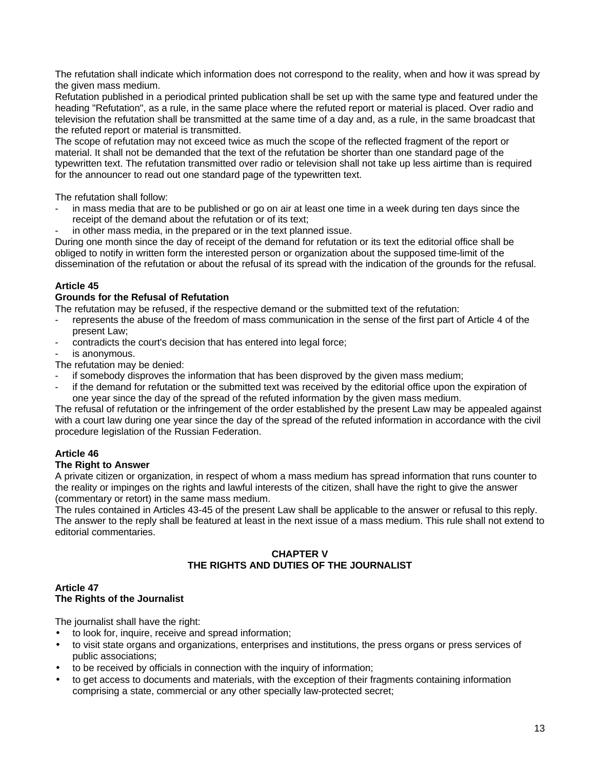The refutation shall indicate which information does not correspond to the reality, when and how it was spread by the given mass medium.

Refutation published in a periodical printed publication shall be set up with the same type and featured under the heading "Refutation", as a rule, in the same place where the refuted report or material is placed. Over radio and television the refutation shall be transmitted at the same time of a day and, as a rule, in the same broadcast that the refuted report or material is transmitted.

The scope of refutation may not exceed twice as much the scope of the reflected fragment of the report or material. It shall not be demanded that the text of the refutation be shorter than one standard page of the typewritten text. The refutation transmitted over radio or television shall not take up less airtime than is required for the announcer to read out one standard page of the typewritten text.

The refutation shall follow:

- in mass media that are to be published or go on air at least one time in a week during ten days since the receipt of the demand about the refutation or of its text;
- in other mass media, in the prepared or in the text planned issue.

During one month since the day of receipt of the demand for refutation or its text the editorial office shall be obliged to notify in written form the interested person or organization about the supposed time-limit of the dissemination of the refutation or about the refusal of its spread with the indication of the grounds for the refusal.

# **Article 45**

### **Grounds for the Refusal of Refutation**

The refutation may be refused, if the respective demand or the submitted text of the refutation:

- represents the abuse of the freedom of mass communication in the sense of the first part of Article 4 of the present Law;
- contradicts the court's decision that has entered into legal force;

is anonymous.

The refutation may be denied:

- if somebody disproves the information that has been disproved by the given mass medium;
- if the demand for refutation or the submitted text was received by the editorial office upon the expiration of one year since the day of the spread of the refuted information by the given mass medium.

The refusal of refutation or the infringement of the order established by the present Law may be appealed against with a court law during one year since the day of the spread of the refuted information in accordance with the civil procedure legislation of the Russian Federation.

# **Article 46**

## **The Right to Answer**

A private citizen or organization, in respect of whom a mass medium has spread information that runs counter to the reality or impinges on the rights and lawful interests of the citizen, shall have the right to give the answer (commentary or retort) in the same mass medium.

The rules contained in Articles 43-45 of the present Law shall be applicable to the answer or refusal to this reply. The answer to the reply shall be featured at least in the next issue of a mass medium. This rule shall not extend to editorial commentaries.

### **CHAPTER V THE RIGHTS AND DUTIES OF THE JOURNALIST**

#### **Article 47 The Rights of the Journalist**

The journalist shall have the right:

- to look for, inquire, receive and spread information;
- to visit state organs and organizations, enterprises and institutions, the press organs or press services of public associations;
- to be received by officials in connection with the inquiry of information;
- to get access to documents and materials, with the exception of their fragments containing information comprising a state, commercial or any other specially law-protected secret;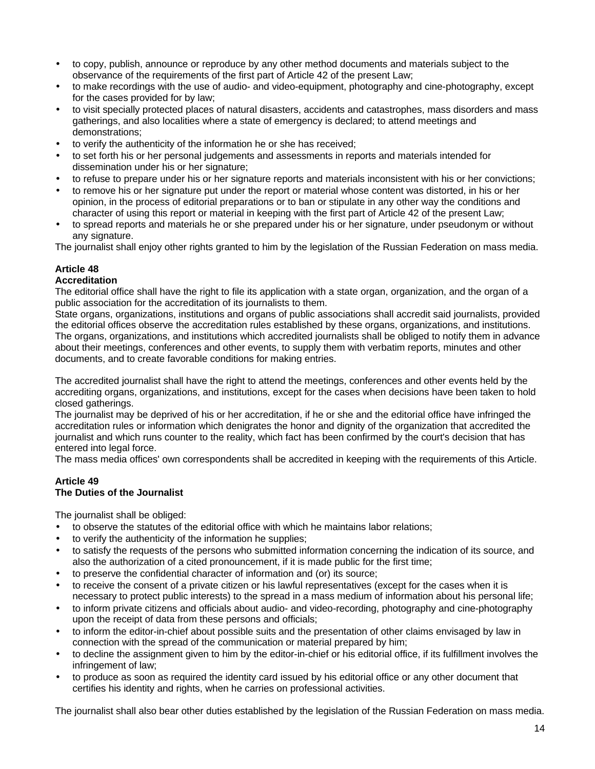- to copy, publish, announce or reproduce by any other method documents and materials subject to the observance of the requirements of the first part of Article 42 of the present Law;
- to make recordings with the use of audio- and video-equipment, photography and cine-photography, except for the cases provided for by law;
- to visit specially protected places of natural disasters, accidents and catastrophes, mass disorders and mass gatherings, and also localities where a state of emergency is declared; to attend meetings and demonstrations;
- to verify the authenticity of the information he or she has received;
- to set forth his or her personal judgements and assessments in reports and materials intended for dissemination under his or her signature;
- to refuse to prepare under his or her signature reports and materials inconsistent with his or her convictions;
- to remove his or her signature put under the report or material whose content was distorted, in his or her opinion, in the process of editorial preparations or to ban or stipulate in any other way the conditions and character of using this report or material in keeping with the first part of Article 42 of the present Law;
- to spread reports and materials he or she prepared under his or her signature, under pseudonym or without any signature.

The journalist shall enjoy other rights granted to him by the legislation of the Russian Federation on mass media.

## **Article 48**

## **Accreditation**

The editorial office shall have the right to file its application with a state organ, organization, and the organ of a public association for the accreditation of its journalists to them.

State organs, organizations, institutions and organs of public associations shall accredit said journalists, provided the editorial offices observe the accreditation rules established by these organs, organizations, and institutions. The organs, organizations, and institutions which accredited journalists shall be obliged to notify them in advance about their meetings, conferences and other events, to supply them with verbatim reports, minutes and other documents, and to create favorable conditions for making entries.

The accredited journalist shall have the right to attend the meetings, conferences and other events held by the accrediting organs, organizations, and institutions, except for the cases when decisions have been taken to hold closed gatherings.

The journalist may be deprived of his or her accreditation, if he or she and the editorial office have infringed the accreditation rules or information which denigrates the honor and dignity of the organization that accredited the journalist and which runs counter to the reality, which fact has been confirmed by the court's decision that has entered into legal force.

The mass media offices' own correspondents shall be accredited in keeping with the requirements of this Article.

#### **Article 49 The Duties of the Journalist**

The journalist shall be obliged:

- to observe the statutes of the editorial office with which he maintains labor relations;
- to verify the authenticity of the information he supplies;
- to satisfy the requests of the persons who submitted information concerning the indication of its source, and also the authorization of a cited pronouncement, if it is made public for the first time;
- to preserve the confidential character of information and (or) its source;
- to receive the consent of a private citizen or his lawful representatives (except for the cases when it is necessary to protect public interests) to the spread in a mass medium of information about his personal life;
- to inform private citizens and officials about audio- and video-recording, photography and cine-photography upon the receipt of data from these persons and officials;
- to inform the editor-in-chief about possible suits and the presentation of other claims envisaged by law in connection with the spread of the communication or material prepared by him;
- to decline the assignment given to him by the editor-in-chief or his editorial office, if its fulfillment involves the infringement of law;
- to produce as soon as required the identity card issued by his editorial office or any other document that certifies his identity and rights, when he carries on professional activities.

The journalist shall also bear other duties established by the legislation of the Russian Federation on mass media.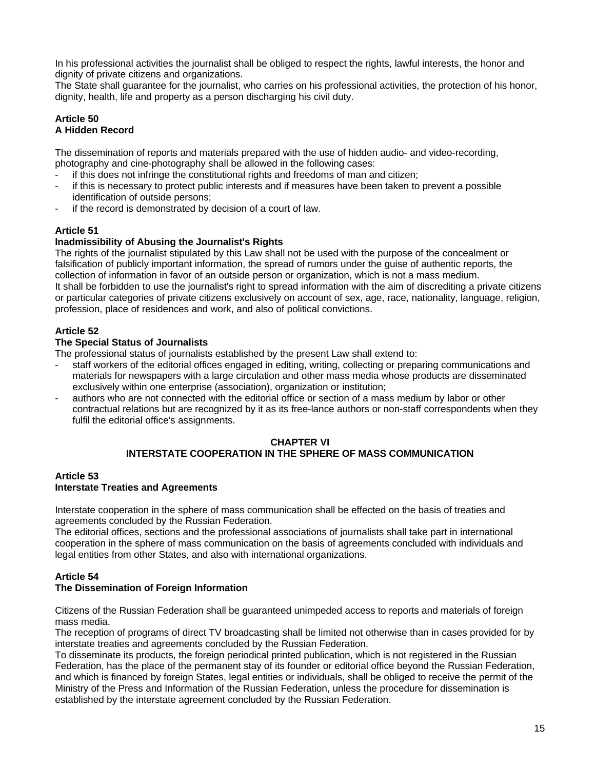In his professional activities the journalist shall be obliged to respect the rights, lawful interests, the honor and dignity of private citizens and organizations.

The State shall guarantee for the journalist, who carries on his professional activities, the protection of his honor, dignity, health, life and property as a person discharging his civil duty.

#### **Article 50 A Hidden Record**

The dissemination of reports and materials prepared with the use of hidden audio- and video-recording, photography and cine-photography shall be allowed in the following cases:

- if this does not infringe the constitutional rights and freedoms of man and citizen;
- if this is necessary to protect public interests and if measures have been taken to prevent a possible identification of outside persons;
- if the record is demonstrated by decision of a court of law.

# **Article 51**

## **Inadmissibility of Abusing the Journalist's Rights**

The rights of the journalist stipulated by this Law shall not be used with the purpose of the concealment or falsification of publicly important information, the spread of rumors under the guise of authentic reports, the collection of information in favor of an outside person or organization, which is not a mass medium. It shall be forbidden to use the journalist's right to spread information with the aim of discrediting a private citizens or particular categories of private citizens exclusively on account of sex, age, race, nationality, language, religion, profession, place of residences and work, and also of political convictions.

## **Article 52**

## **The Special Status of Journalists**

The professional status of journalists established by the present Law shall extend to:

- staff workers of the editorial offices engaged in editing, writing, collecting or preparing communications and materials for newspapers with a large circulation and other mass media whose products are disseminated exclusively within one enterprise (association), organization or institution;
- authors who are not connected with the editorial office or section of a mass medium by labor or other contractual relations but are recognized by it as its free-lance authors or non-staff correspondents when they fulfil the editorial office's assignments.

#### **CHAPTER VI**

## **INTERSTATE COOPERATION IN THE SPHERE OF MASS COMMUNICATION**

#### **Article 53 Interstate Treaties and Agreements**

Interstate cooperation in the sphere of mass communication shall be effected on the basis of treaties and agreements concluded by the Russian Federation.

The editorial offices, sections and the professional associations of journalists shall take part in international cooperation in the sphere of mass communication on the basis of agreements concluded with individuals and legal entities from other States, and also with international organizations.

# **Article 54**

## **The Dissemination of Foreign Information**

Citizens of the Russian Federation shall be guaranteed unimpeded access to reports and materials of foreign mass media.

The reception of programs of direct TV broadcasting shall be limited not otherwise than in cases provided for by interstate treaties and agreements concluded by the Russian Federation.

To disseminate its products, the foreign periodical printed publication, which is not registered in the Russian Federation, has the place of the permanent stay of its founder or editorial office beyond the Russian Federation, and which is financed by foreign States, legal entities or individuals, shall be obliged to receive the permit of the Ministry of the Press and Information of the Russian Federation, unless the procedure for dissemination is established by the interstate agreement concluded by the Russian Federation.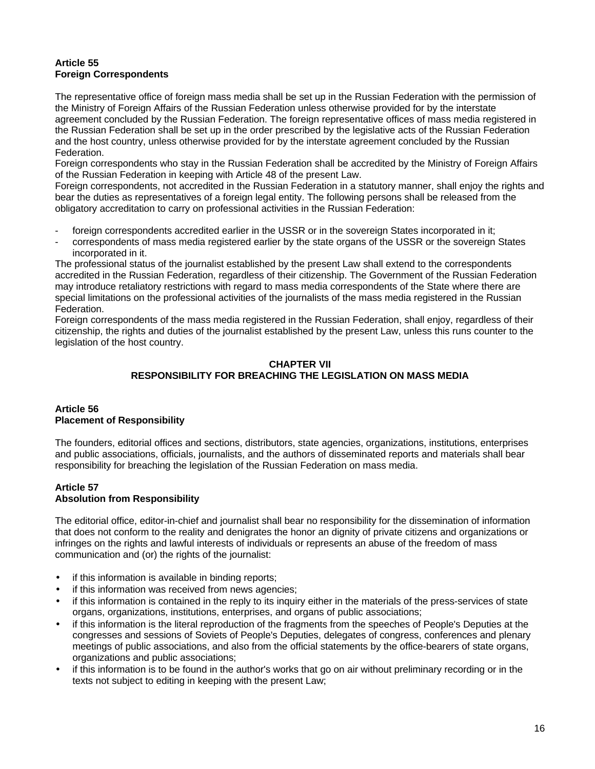## **Article 55 Foreign Correspondents**

The representative office of foreign mass media shall be set up in the Russian Federation with the permission of the Ministry of Foreign Affairs of the Russian Federation unless otherwise provided for by the interstate agreement concluded by the Russian Federation. The foreign representative offices of mass media registered in the Russian Federation shall be set up in the order prescribed by the legislative acts of the Russian Federation and the host country, unless otherwise provided for by the interstate agreement concluded by the Russian Federation.

Foreign correspondents who stay in the Russian Federation shall be accredited by the Ministry of Foreign Affairs of the Russian Federation in keeping with Article 48 of the present Law.

Foreign correspondents, not accredited in the Russian Federation in a statutory manner, shall enjoy the rights and bear the duties as representatives of a foreign legal entity. The following persons shall be released from the obligatory accreditation to carry on professional activities in the Russian Federation:

- foreign correspondents accredited earlier in the USSR or in the sovereign States incorporated in it;
- correspondents of mass media registered earlier by the state organs of the USSR or the sovereign States incorporated in it.

The professional status of the journalist established by the present Law shall extend to the correspondents accredited in the Russian Federation, regardless of their citizenship. The Government of the Russian Federation may introduce retaliatory restrictions with regard to mass media correspondents of the State where there are special limitations on the professional activities of the journalists of the mass media registered in the Russian Federation.

Foreign correspondents of the mass media registered in the Russian Federation, shall enjoy, regardless of their citizenship, the rights and duties of the journalist established by the present Law, unless this runs counter to the legislation of the host country.

# **CHAPTER VII RESPONSIBILITY FOR BREACHING THE LEGISLATION ON MASS MEDIA**

## **Article 56 Placement of Responsibility**

The founders, editorial offices and sections, distributors, state agencies, organizations, institutions, enterprises and public associations, officials, journalists, and the authors of disseminated reports and materials shall bear responsibility for breaching the legislation of the Russian Federation on mass media.

# **Article 57**

## **Absolution from Responsibility**

The editorial office, editor-in-chief and journalist shall bear no responsibility for the dissemination of information that does not conform to the reality and denigrates the honor an dignity of private citizens and organizations or infringes on the rights and lawful interests of individuals or represents an abuse of the freedom of mass communication and (or) the rights of the journalist:

- if this information is available in binding reports;
- if this information was received from news agencies:
- if this information is contained in the reply to its inquiry either in the materials of the press-services of state organs, organizations, institutions, enterprises, and organs of public associations;
- if this information is the literal reproduction of the fragments from the speeches of People's Deputies at the congresses and sessions of Soviets of People's Deputies, delegates of congress, conferences and plenary meetings of public associations, and also from the official statements by the office-bearers of state organs, organizations and public associations;
- if this information is to be found in the author's works that go on air without preliminary recording or in the texts not subject to editing in keeping with the present Law;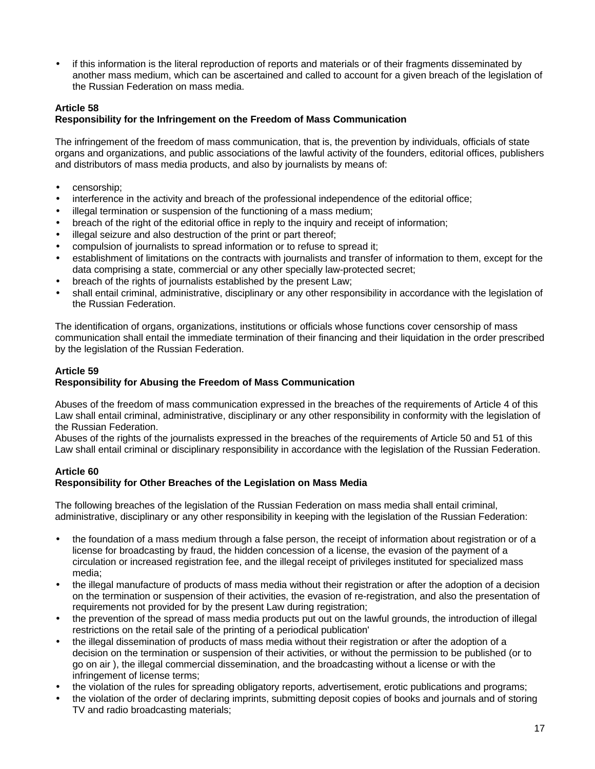• if this information is the literal reproduction of reports and materials or of their fragments disseminated by another mass medium, which can be ascertained and called to account for a given breach of the legislation of the Russian Federation on mass media.

# **Article 58**

## **Responsibility for the Infringement on the Freedom of Mass Communication**

The infringement of the freedom of mass communication, that is, the prevention by individuals, officials of state organs and organizations, and public associations of the lawful activity of the founders, editorial offices, publishers and distributors of mass media products, and also by journalists by means of:

- censorship;
- interference in the activity and breach of the professional independence of the editorial office;
- illegal termination or suspension of the functioning of a mass medium;
- breach of the right of the editorial office in reply to the inquiry and receipt of information;
- illegal seizure and also destruction of the print or part thereof;
- compulsion of journalists to spread information or to refuse to spread it;
- establishment of limitations on the contracts with journalists and transfer of information to them, except for the data comprising a state, commercial or any other specially law-protected secret;
- breach of the rights of journalists established by the present Law;
- shall entail criminal, administrative, disciplinary or any other responsibility in accordance with the legislation of the Russian Federation.

The identification of organs, organizations, institutions or officials whose functions cover censorship of mass communication shall entail the immediate termination of their financing and their liquidation in the order prescribed by the legislation of the Russian Federation.

### **Article 59**

## **Responsibility for Abusing the Freedom of Mass Communication**

Abuses of the freedom of mass communication expressed in the breaches of the requirements of Article 4 of this Law shall entail criminal, administrative, disciplinary or any other responsibility in conformity with the legislation of the Russian Federation.

Abuses of the rights of the journalists expressed in the breaches of the requirements of Article 50 and 51 of this Law shall entail criminal or disciplinary responsibility in accordance with the legislation of the Russian Federation.

### **Article 60 Responsibility for Other Breaches of the Legislation on Mass Media**

The following breaches of the legislation of the Russian Federation on mass media shall entail criminal, administrative, disciplinary or any other responsibility in keeping with the legislation of the Russian Federation:

- the foundation of a mass medium through a false person, the receipt of information about registration or of a license for broadcasting by fraud, the hidden concession of a license, the evasion of the payment of a circulation or increased registration fee, and the illegal receipt of privileges instituted for specialized mass media;
- the illegal manufacture of products of mass media without their registration or after the adoption of a decision on the termination or suspension of their activities, the evasion of re-registration, and also the presentation of requirements not provided for by the present Law during registration;
- the prevention of the spread of mass media products put out on the lawful grounds, the introduction of illegal restrictions on the retail sale of the printing of a periodical publication'
- the illegal dissemination of products of mass media without their registration or after the adoption of a decision on the termination or suspension of their activities, or without the permission to be published (or to go on air ), the illegal commercial dissemination, and the broadcasting without a license or with the infringement of license terms;
- the violation of the rules for spreading obligatory reports, advertisement, erotic publications and programs;
- the violation of the order of declaring imprints, submitting deposit copies of books and journals and of storing TV and radio broadcasting materials;